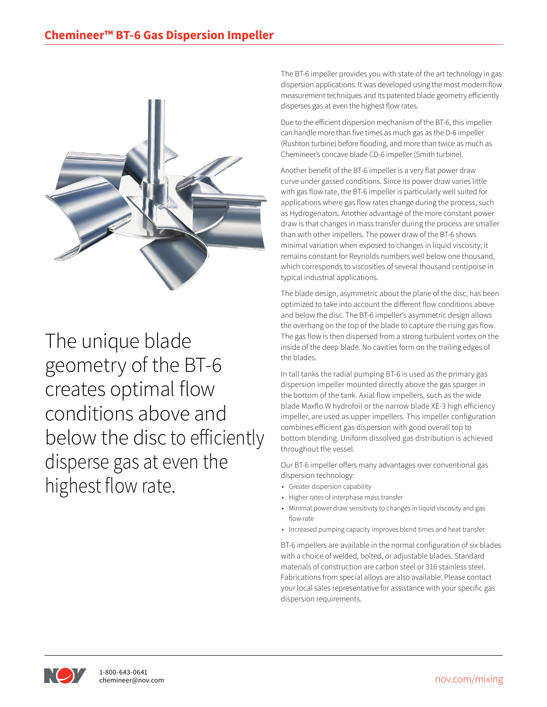

The unique blade geometry of the BT-6 creates optimal flow conditions above and below the disc to efficiently disperse gas at even the highest flow rate.

The BT-6 impeller provides you with state of the art technology in gas dispersion applications. It was developed using the most modern flow measurement techniques and its patented blade geometry efficiently disperses gas at even the highest flow rates.

Due to the efficient dispersion mechanism of the BT-6, this impeller can handle more than five times as much gas as the D-6 impeller (Rushton turbine) before flooding, and more than twice as much as Chemineer's concave blade CD-6 impeller (Smith turbine).

Another benefit of the BT-6 impeller is a very flat power draw curve under gassed conditions. Since its power draw varies little with gas flow rate, the BT-6 impeller is particularly well suited for applications where gas flow rates change during the process, such as Hydrogenators. Another advantage of the more constant power draw is that changes in mass transfer during the process are smaller than with other impellers. The power draw of the BT-6 shows minimal variation when exposed to changes in liquid viscosity; it remains constant for Reynolds numbers well below one thousand, which corresponds to viscosities of several thousand centipoise in typical industrial applications.

The blade design, asymmetric about the plane of the disc, has been optimized to take into account the different flow conditions above and below the disc. The BT-6 impeller's asymmetric design allows the overhang on the top of the blade to capture the rising gas flow. The gas flow is then dispersed from a strong turbulent vortex on the inside of the deep blade. No cavities form on the trailing edges of the blades.

In tall tanks the radial pumping BT-6 is used as the primary gas dispersion impeller mounted directly above the gas sparger in the bottom of the tank. Axial flow impellers, such as the wide blade Maxflo W hydrofoil or the narrow blade XE-3 high efficiency impeller, are used as upper impellers. This impeller configuration combines efficient gas dispersion with good overall top to bottom blending. Uniform dissolved gas distribution is achieved throughout the vessel.

Our BT-6 impeller offers many advantages over conventional gas dispersion technology:

- Greater dispersion capability
- Higher rates of interphase mass transfer
- Minimal power draw sensitivity to changes in liquid viscosity and gas flow rate
- Increased pumping capacity improves blend times and heat transfer

BT-6 impellers are available in the normal configuration of six blades with a choice of welded, bolted, or adjustable blades. Standard materials of construction are carbon steel or 316 stainless steel. Fabrications from special alloys are also available. Please contact your local sales representative for assistance with your specific gas dispersion requirements.